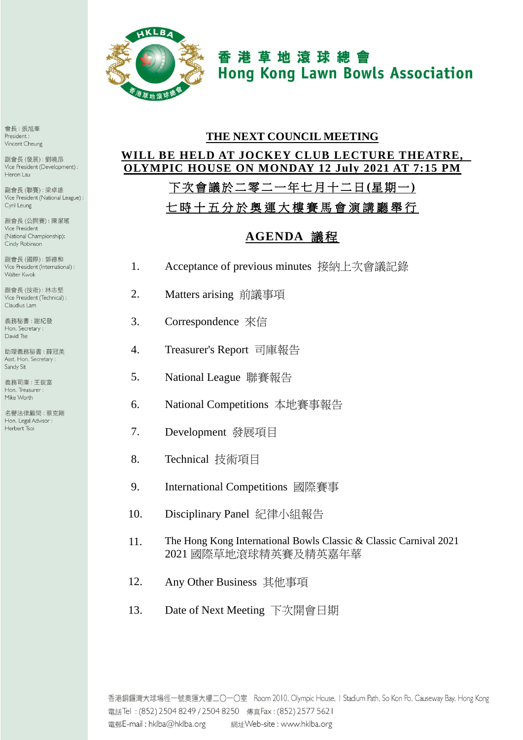

香港草地滾球總會 **Hong Kong Lawn Bowls Association** 

# **THE NEXT COUNCIL MEETING WILL BE HELD AT JOCKEY CLUB LECTURE THEATRE, OLYMPIC HOUSE ON MONDAY 12 July 2021 AT 7:15 PM**

## 下次會議於二零二 一年七月十二日**(**星期一**)**

七 時 十 五 分 於 奧運大樓賽馬會演講廳 舉 行

### **AGENDA** 議程

- 1. Acceptance of previous minutes 接納上次會議記錄
- 2. Matters arising 前議事項
- 3. Correspondence 來信
- 4. Treasurer's Report 司庫報告
- 5. National League 聯賽報告
- 6. National Competitions 本地賽事報告
- 7. Development 發展項目
- 8. Technical 技術項目
- 9. International Competitions 國際賽事
- 10. Disciplinary Panel 紀律小組報告
- 11. The Hong Kong International Bowls Classic & Classic Carnival 2021 2021 國際草地滾球精英賽及精英嘉年華
- 12. Any Other Business 其他事項
- 13. Date of Next Meeting 下次開會日期

會長:張旭峯 President: Vincent Cheung

副會長(發展):劉曉昂 Vice President (Development) : Heron Lau

副會長(聯賽):梁卓雄 Vice President (National League) : Cyril Leung

副會長(公開賽):陳潔瑤 Vice President (National Championship): Cindy Robinson

副會長(國際): 郭德和 Vice President (International) : Walter Kwok

副會長(技術):林志堅 Vice President (Technical) : Claudius Lam

義務秘書:謝紀發 Hon. Secretary: David Tse

助理義務秘書:薛冠美 Asst. Hon. Secretary: Sandy Sit

義務司庫: 干鋭富 Hon. Treasurer : Mike Worth

**么舉法律顧問·茲克剛** Hon. Legal Advisor : Herbert Tsoi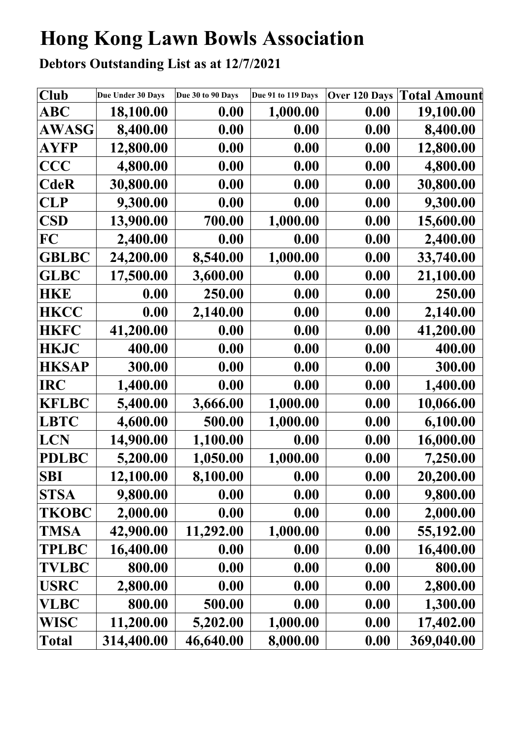# **Hong Kong Lawn Bowls Association**

**Debtors Outstanding List as at 12/7/2021**

| Club         | Due Under 30 Days | Due 30 to 90 Days | Due 91 to 119 Days | Over 120 Days | <b>Total Amount</b> |
|--------------|-------------------|-------------------|--------------------|---------------|---------------------|
| ABC          | 18,100.00         | 0.00              | 1,000.00           | 0.00          | 19,100.00           |
| <b>AWASG</b> | 8,400.00          | 0.00              | 0.00               | 0.00          | 8,400.00            |
| AYFP         | 12,800.00         | 0.00              | 0.00               | 0.00          | 12,800.00           |
| <b>CCC</b>   | 4,800.00          | 0.00              | 0.00               | 0.00          | 4,800.00            |
| <b>CdeR</b>  | 30,800.00         | 0.00              | 0.00               | 0.00          | 30,800.00           |
| <b>CLP</b>   | 9,300.00          | 0.00              | 0.00               | 0.00          | 9,300.00            |
| <b>CSD</b>   | 13,900.00         | 700.00            | 1,000.00           | 0.00          | 15,600.00           |
| FC           | 2,400.00          | 0.00              | 0.00               | 0.00          | 2,400.00            |
| <b>GBLBC</b> | 24,200.00         | 8,540.00          | 1,000.00           | 0.00          | 33,740.00           |
| <b>GLBC</b>  | 17,500.00         | 3,600.00          | 0.00               | 0.00          | 21,100.00           |
| <b>HKE</b>   | 0.00              | 250.00            | 0.00               | 0.00          | 250.00              |
| <b>HKCC</b>  | 0.00              | 2,140.00          | 0.00               | 0.00          | 2,140.00            |
| <b>HKFC</b>  | 41,200.00         | 0.00              | 0.00               | 0.00          | 41,200.00           |
| <b>HKJC</b>  | 400.00            | 0.00              | 0.00               | 0.00          | 400.00              |
| <b>HKSAP</b> | 300.00            | 0.00              | 0.00               | 0.00          | 300.00              |
| <b>IRC</b>   | 1,400.00          | 0.00              | 0.00               | 0.00          | 1,400.00            |
| <b>KFLBC</b> | 5,400.00          | 3,666.00          | 1,000.00           | 0.00          | 10,066.00           |
| <b>LBTC</b>  | 4,600.00          | 500.00            | 1,000.00           | 0.00          | 6,100.00            |
| LCN          | 14,900.00         | 1,100.00          | 0.00               | 0.00          | 16,000.00           |
| <b>PDLBC</b> | 5,200.00          | 1,050.00          | 1,000.00           | 0.00          | 7,250.00            |
| <b>SBI</b>   | 12,100.00         | 8,100.00          | 0.00               | 0.00          | 20,200.00           |
| <b>STSA</b>  | 9,800.00          | 0.00              | 0.00               | 0.00          | 9,800.00            |
| <b>TKOBC</b> | 2,000.00          | 0.00              | 0.00               | 0.00          | 2,000.00            |
| <b>TMSA</b>  | 42,900.00         | 11,292.00         | 1,000.00           | 0.00          | 55,192.00           |
| <b>TPLBC</b> | 16,400.00         | 0.00              | 0.00               | 0.00          | 16,400.00           |
| <b>TVLBC</b> | 800.00            | 0.00              | 0.00               | 0.00          | 800.00              |
| <b>USRC</b>  | 2,800.00          | 0.00              | 0.00               | 0.00          | 2,800.00            |
| <b>VLBC</b>  | 800.00            | 500.00            | 0.00               | 0.00          | 1,300.00            |
| <b>WISC</b>  | 11,200.00         | 5,202.00          | 1,000.00           | 0.00          | 17,402.00           |
| Total        | 314,400.00        | 46,640.00         | 8,000.00           | 0.00          | 369,040.00          |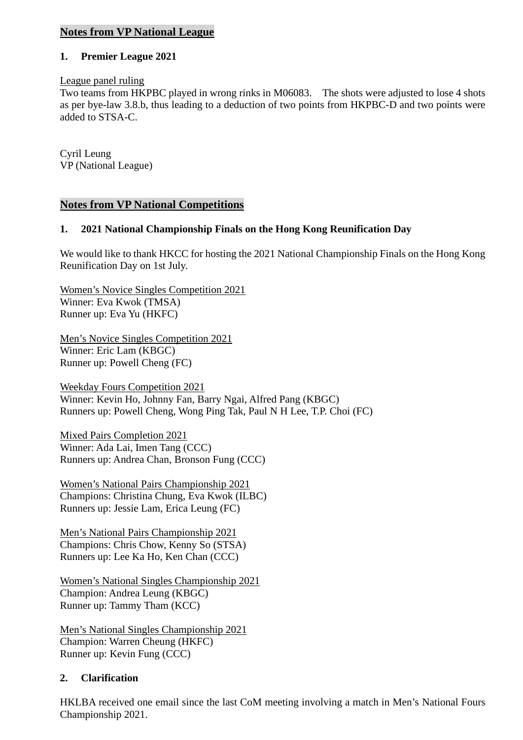#### **Notes from VP National League**

#### **1. Premier League 2021**

#### League panel ruling

Two teams from HKPBC played in wrong rinks in M06083. The shots were adjusted to lose 4 shots as per bye-law 3.8.b, thus leading to a deduction of two points from HKPBC-D and two points were added to STSA-C.

Cyril Leung VP (National League)

#### **Notes from VP National Competitions**

#### **1. 2021 National Championship Finals on the Hong Kong Reunification Day**

We would like to thank HKCC for hosting the 2021 National Championship Finals on the Hong Kong Reunification Day on 1st July.

Women's Novice Singles Competition 2021 Winner: Eva Kwok (TMSA) Runner up: Eva Yu (HKFC)

Men's Novice Singles Competition 2021 Winner: Eric Lam (KBGC) Runner up: Powell Cheng (FC)

Weekday Fours Competition 2021 Winner: Kevin Ho, Johnny Fan, Barry Ngai, Alfred Pang (KBGC) Runners up: Powell Cheng, Wong Ping Tak, Paul N H Lee, T.P. Choi (FC)

Mixed Pairs Completion 2021 Winner: Ada Lai, Imen Tang (CCC) Runners up: Andrea Chan, Bronson Fung (CCC)

Women's National Pairs Championship 2021 Champions: Christina Chung, Eva Kwok (ILBC) Runners up: Jessie Lam, Erica Leung (FC)

Men's National Pairs Championship 2021 Champions: Chris Chow, Kenny So (STSA) Runners up: Lee Ka Ho, Ken Chan (CCC)

Women's National Singles Championship 2021 Champion: Andrea Leung (KBGC) Runner up: Tammy Tham (KCC)

Men's National Singles Championship 2021 Champion: Warren Cheung (HKFC) Runner up: Kevin Fung (CCC)

#### **2. Clarification**

HKLBA received one email since the last CoM meeting involving a match in Men's National Fours Championship 2021.